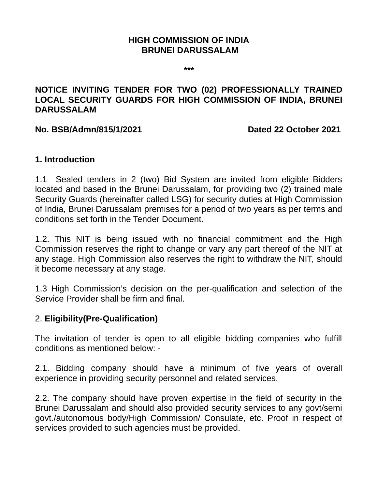### **HIGH COMMISSION OF INDIA BRUNEI DARUSSALAM**

**\*\*\***

### **NOTICE INVITING TENDER FOR TWO (02) PROFESSIONALLY TRAINED LOCAL SECURITY GUARDS FOR HIGH COMMISSION OF INDIA, BRUNEI DARUSSALAM**

#### **No. BSB/Admn/815/1/2021 Dated 22 October 2021**

### **1. Introduction**

1.1 Sealed tenders in 2 (two) Bid System are invited from eligible Bidders located and based in the Brunei Darussalam, for providing two (2) trained male Security Guards (hereinafter called LSG) for security duties at High Commission of India, Brunei Darussalam premises for a period of two years as per terms and conditions set forth in the Tender Document.

1.2. This NIT is being issued with no financial commitment and the High Commission reserves the right to change or vary any part thereof of the NIT at any stage. High Commission also reserves the right to withdraw the NIT, should it become necessary at any stage.

1.3 High Commission's decision on the per-qualification and selection of the Service Provider shall be firm and final.

### 2. **Eligibility(Pre-Qualification)**

The invitation of tender is open to all eligible bidding companies who fulfill conditions as mentioned below: -

2.1. Bidding company should have a minimum of five years of overall experience in providing security personnel and related services.

2.2. The company should have proven expertise in the field of security in the Brunei Darussalam and should also provided security services to any govt/semi govt./autonomous body/High Commission/ Consulate, etc. Proof in respect of services provided to such agencies must be provided.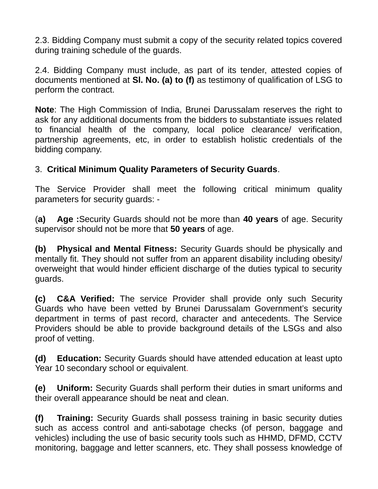2.3. Bidding Company must submit a copy of the security related topics covered during training schedule of the guards.

2.4. Bidding Company must include, as part of its tender, attested copies of documents mentioned at **Sl. No. (a) to (f)** as testimony of qualification of LSG to perform the contract.

**Note**: The High Commission of India, Brunei Darussalam reserves the right to ask for any additional documents from the bidders to substantiate issues related to financial health of the company, local police clearance/ verification, partnership agreements, etc, in order to establish holistic credentials of the bidding company.

### 3. **Critical Minimum Quality Parameters of Security Guards**.

The Service Provider shall meet the following critical minimum quality parameters for security guards: -

(**a) Age :**Security Guards should not be more than **40 years** of age. Security supervisor should not be more that **50 years** of age.

**(b) Physical and Mental Fitness:** Security Guards should be physically and mentally fit. They should not suffer from an apparent disability including obesity/ overweight that would hinder efficient discharge of the duties typical to security guards.

**(c) C&A Verified:** The service Provider shall provide only such Security Guards who have been vetted by Brunei Darussalam Government's security department in terms of past record, character and antecedents. The Service Providers should be able to provide background details of the LSGs and also proof of vetting.

**(d) Education:** Security Guards should have attended education at least upto Year 10 secondary school or equivalent.

**(e) Uniform:** Security Guards shall perform their duties in smart uniforms and their overall appearance should be neat and clean.

**(f) Training:** Security Guards shall possess training in basic security duties such as access control and anti-sabotage checks (of person, baggage and vehicles) including the use of basic security tools such as HHMD, DFMD, CCTV monitoring, baggage and letter scanners, etc. They shall possess knowledge of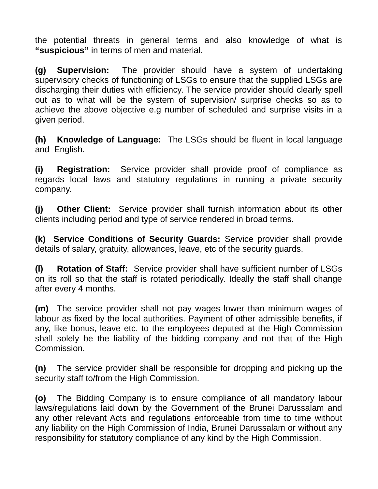the potential threats in general terms and also knowledge of what is **"suspicious"** in terms of men and material.

**(g) Supervision:** The provider should have a system of undertaking supervisory checks of functioning of LSGs to ensure that the supplied LSGs are discharging their duties with efficiency. The service provider should clearly spell out as to what will be the system of supervision/ surprise checks so as to achieve the above objective e.g number of scheduled and surprise visits in a given period.

**(h) Knowledge of Language:** The LSGs should be fluent in local language and English.

**(i) Registration:** Service provider shall provide proof of compliance as regards local laws and statutory regulations in running a private security company.

**(j) Other Client:** Service provider shall furnish information about its other clients including period and type of service rendered in broad terms.

**(k) Service Conditions of Security Guards:** Service provider shall provide details of salary, gratuity, allowances, leave, etc of the security guards.

**(l) Rotation of Staff:** Service provider shall have sufficient number of LSGs on its roll so that the staff is rotated periodically. Ideally the staff shall change after every 4 months.

**(m)** The service provider shall not pay wages lower than minimum wages of labour as fixed by the local authorities. Payment of other admissible benefits, if any, like bonus, leave etc. to the employees deputed at the High Commission shall solely be the liability of the bidding company and not that of the High Commission.

**(n)** The service provider shall be responsible for dropping and picking up the security staff to/from the High Commission.

**(o)** The Bidding Company is to ensure compliance of all mandatory labour laws/regulations laid down by the Government of the Brunei Darussalam and any other relevant Acts and regulations enforceable from time to time without any liability on the High Commission of India, Brunei Darussalam or without any responsibility for statutory compliance of any kind by the High Commission.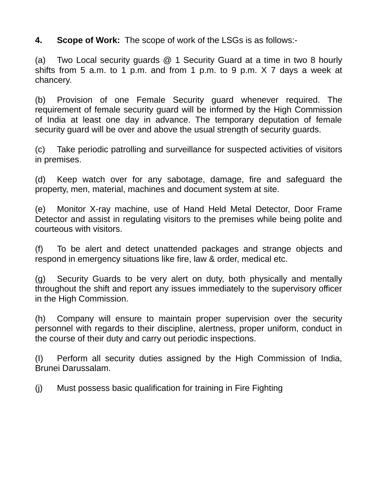**4. Scope of Work:** The scope of work of the LSGs is as follows:-

(a) Two Local security guards @ 1 Security Guard at a time in two 8 hourly shifts from 5 a.m. to 1 p.m. and from 1 p.m. to 9 p.m.  $\times$  7 days a week at chancery.

(b) Provision of one Female Security guard whenever required. The requirement of female security guard will be informed by the High Commission of India at least one day in advance. The temporary deputation of female security guard will be over and above the usual strength of security guards.

(c) Take periodic patrolling and surveillance for suspected activities of visitors in premises.

(d) Keep watch over for any sabotage, damage, fire and safeguard the property, men, material, machines and document system at site.

(e) Monitor X-ray machine, use of Hand Held Metal Detector, Door Frame Detector and assist in regulating visitors to the premises while being polite and courteous with visitors.

(f) To be alert and detect unattended packages and strange objects and respond in emergency situations like fire, law & order, medical etc.

(g) Security Guards to be very alert on duty, both physically and mentally throughout the shift and report any issues immediately to the supervisory officer in the High Commission.

(h) Company will ensure to maintain proper supervision over the security personnel with regards to their discipline, alertness, proper uniform, conduct in the course of their duty and carry out periodic inspections.

(I) Perform all security duties assigned by the High Commission of India, Brunei Darussalam.

(j) Must possess basic qualification for training in Fire Fighting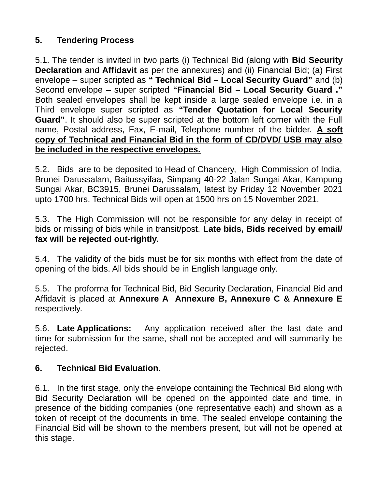## **5. Tendering Process**

5.1. The tender is invited in two parts (i) Technical Bid (along with **Bid Security Declaration** and **Affidavit** as per the annexures) and (ii) Financial Bid; (a) First envelope – super scripted as **" Technical Bid – Local Security Guard"** and (b) Second envelope – super scripted **"Financial Bid – Local Security Guard ."** Both sealed envelopes shall be kept inside a large sealed envelope i.e. in a Third envelope super scripted as **"Tender Quotation for Local Security Guard"**. It should also be super scripted at the bottom left corner with the Full name, Postal address, Fax, E-mail, Telephone number of the bidder. **A soft copy of Technical and Financial Bid in the form of CD/DVD/ USB may also be included in the respective envelopes.**

5.2. Bids are to be deposited to Head of Chancery, High Commission of India, Brunei Darussalam, Baitussyifaa, Simpang 40-22 Jalan Sungai Akar, Kampung Sungai Akar, BC3915, Brunei Darussalam, latest by Friday 12 November 2021 upto 1700 hrs. Technical Bids will open at 1500 hrs on 15 November 2021.

5.3. The High Commission will not be responsible for any delay in receipt of bids or missing of bids while in transit/post. **Late bids, Bids received by email/ fax will be rejected out-rightly.**

5.4. The validity of the bids must be for six months with effect from the date of opening of the bids. All bids should be in English language only.

5.5. The proforma for Technical Bid, Bid Security Declaration, Financial Bid and Affidavit is placed at **Annexure A Annexure B, Annexure C & Annexure E** respectively.

5.6. **Late Applications:** Any application received after the last date and time for submission for the same, shall not be accepted and will summarily be rejected.

### **6. Technical Bid Evaluation.**

6.1. In the first stage, only the envelope containing the Technical Bid along with Bid Security Declaration will be opened on the appointed date and time, in presence of the bidding companies (one representative each) and shown as a token of receipt of the documents in time. The sealed envelope containing the Financial Bid will be shown to the members present, but will not be opened at this stage.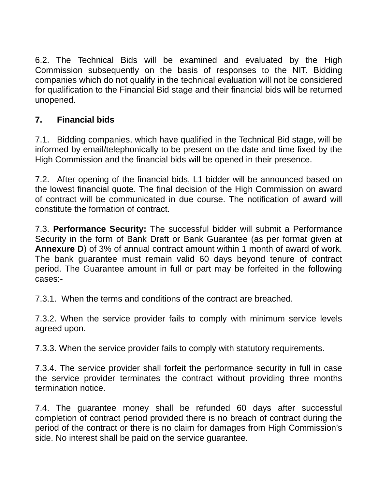6.2. The Technical Bids will be examined and evaluated by the High Commission subsequently on the basis of responses to the NIT. Bidding companies which do not qualify in the technical evaluation will not be considered for qualification to the Financial Bid stage and their financial bids will be returned unopened.

## **7. Financial bids**

7.1. Bidding companies, which have qualified in the Technical Bid stage, will be informed by email/telephonically to be present on the date and time fixed by the High Commission and the financial bids will be opened in their presence.

7.2. After opening of the financial bids, L1 bidder will be announced based on the lowest financial quote. The final decision of the High Commission on award of contract will be communicated in due course. The notification of award will constitute the formation of contract.

7.3. **Performance Security:** The successful bidder will submit a Performance Security in the form of Bank Draft or Bank Guarantee (as per format given at **Annexure D**) of 3% of annual contract amount within 1 month of award of work. The bank guarantee must remain valid 60 days beyond tenure of contract period. The Guarantee amount in full or part may be forfeited in the following cases:-

7.3.1. When the terms and conditions of the contract are breached.

7.3.2. When the service provider fails to comply with minimum service levels agreed upon.

7.3.3. When the service provider fails to comply with statutory requirements.

7.3.4. The service provider shall forfeit the performance security in full in case the service provider terminates the contract without providing three months termination notice.

7.4. The guarantee money shall be refunded 60 days after successful completion of contract period provided there is no breach of contract during the period of the contract or there is no claim for damages from High Commission's side. No interest shall be paid on the service guarantee.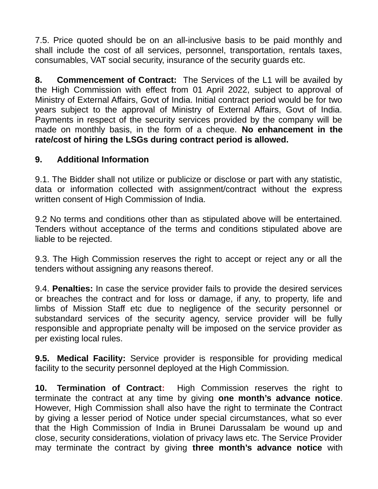7.5. Price quoted should be on an all-inclusive basis to be paid monthly and shall include the cost of all services, personnel, transportation, rentals taxes, consumables, VAT social security, insurance of the security guards etc.

**8. Commencement of Contract:** The Services of the L1 will be availed by the High Commission with effect from 01 April 2022, subject to approval of Ministry of External Affairs, Govt of India. Initial contract period would be for two years subject to the approval of Ministry of External Affairs, Govt of India. Payments in respect of the security services provided by the company will be made on monthly basis, in the form of a cheque. **No enhancement in the rate/cost of hiring the LSGs during contract period is allowed.**

### **9. Additional Information**

9.1. The Bidder shall not utilize or publicize or disclose or part with any statistic, data or information collected with assignment/contract without the express written consent of High Commission of India.

9.2 No terms and conditions other than as stipulated above will be entertained. Tenders without acceptance of the terms and conditions stipulated above are liable to be rejected.

9.3. The High Commission reserves the right to accept or reject any or all the tenders without assigning any reasons thereof.

9.4. **Penalties:** In case the service provider fails to provide the desired services or breaches the contract and for loss or damage, if any, to property, life and limbs of Mission Staff etc due to negligence of the security personnel or substandard services of the security agency, service provider will be fully responsible and appropriate penalty will be imposed on the service provider as per existing local rules.

**9.5. Medical Facility:** Service provider is responsible for providing medical facility to the security personnel deployed at the High Commission.

**10. Termination of Contract:** High Commission reserves the right to terminate the contract at any time by giving **one month's advance notice**. However, High Commission shall also have the right to terminate the Contract by giving a lesser period of Notice under special circumstances, what so ever that the High Commission of India in Brunei Darussalam be wound up and close, security considerations, violation of privacy laws etc. The Service Provider may terminate the contract by giving **three month's advance notice** with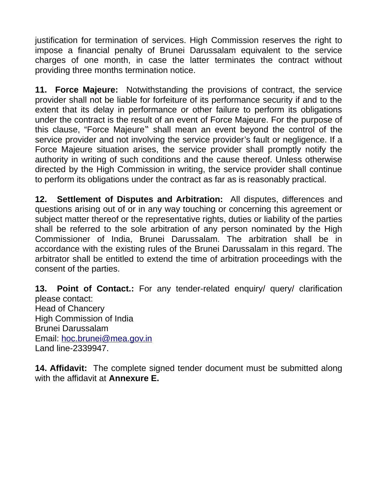justification for termination of services. High Commission reserves the right to impose a financial penalty of Brunei Darussalam equivalent to the service charges of one month, in case the latter terminates the contract without providing three months termination notice.

**11. Force Majeure:** Notwithstanding the provisions of contract, the service provider shall not be liable for forfeiture of its performance security if and to the extent that its delay in performance or other failure to perform its obligations under the contract is the result of an event of Force Majeure. For the purpose of this clause, "Force Majeure" shall mean an event beyond the control of the service provider and not involving the service provider's fault or negligence. If a Force Majeure situation arises, the service provider shall promptly notify the authority in writing of such conditions and the cause thereof. Unless otherwise directed by the High Commission in writing, the service provider shall continue to perform its obligations under the contract as far as is reasonably practical.

**12. Settlement of Disputes and Arbitration:** All disputes, differences and questions arising out of or in any way touching or concerning this agreement or subject matter thereof or the representative rights, duties or liability of the parties shall be referred to the sole arbitration of any person nominated by the High Commissioner of India, Brunei Darussalam. The arbitration shall be in accordance with the existing rules of the Brunei Darussalam in this regard. The arbitrator shall be entitled to extend the time of arbitration proceedings with the consent of the parties.

**13. Point of Contact.:** For any tender-related enquiry/ query/ clarification please contact: Head of Chancery High Commission of India Brunei Darussalam Email: [hoc.brunei@mea.gov.in](mailto:hoc.brunei@mea.gov.in) Land line-2339947.

**14. Affidavit:** The complete signed tender document must be submitted along with the affidavit at **Annexure E.**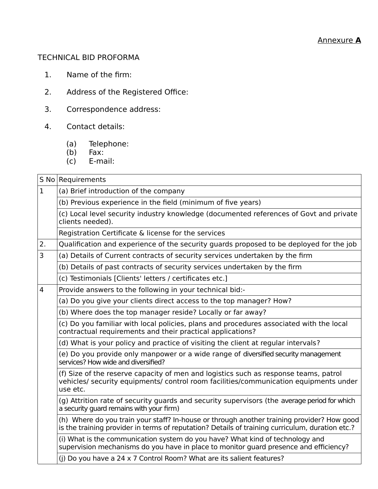#### TECHNICAL BID PROFORMA

- 1. Name of the firm:
- 2. Address of the Registered Office:
- 3. Correspondence address:
- 4. Contact details:
	- (a) Telephone:
	- (b) Fax:
	- (c) E-mail:

### S No Requirements  $1$  (a) Brief introduction of the company (b) Previous experience in the field (minimum of five years) (c) Local level security industry knowledge (documented references of Govt and private clients needed). Registration Certificate & license for the services 2. Qualification and experience of the security guards proposed to be deployed for the job  $3$   $|$  (a) Details of Current contracts of security services undertaken by the firm (b) Details of past contracts of security services undertaken by the firm (c) Testimonials [Clients' letters / certificates etc.] 4 Provide answers to the following in your technical bid:- (a) Do you give your clients direct access to the top manager? How? (b) Where does the top manager reside? Locally or far away? (c) Do you familiar with local policies, plans and procedures associated with the local contractual requirements and their practical applications? (d) What is your policy and practice of visiting the client at regular intervals? (e) Do you provide only manpower or a wide range of diversified security management services? How wide and diversified? (f) Size of the reserve capacity of men and logistics such as response teams, patrol vehicles/ security equipments/ control room facilities/communication equipments under use etc. (g) Attrition rate of security guards and security supervisors (the average period for which a security guard remains with your firm) (h) Where do you train your staff? In-house or through another training provider? How good is the training provider in terms of reputation? Details of training curriculum, duration etc.? (i) What is the communication system do you have? What kind of technology and supervision mechanisms do you have in place to monitor guard presence and efficiency? (j) Do you have a 24 x 7 Control Room? What are its salient features?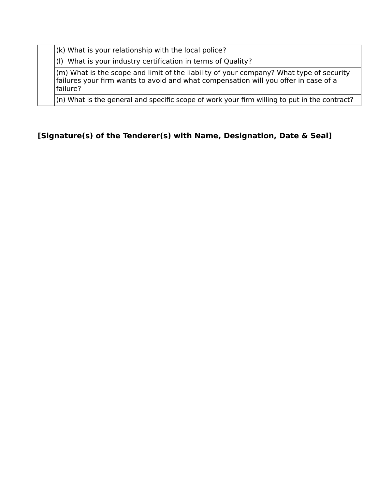(k) What is your relationship with the local police?

(l) What is your industry certification in terms of Quality?

(m) What is the scope and limit of the liability of your company? What type of security failures your firm wants to avoid and what compensation will you offer in case of a failure?

(n) What is the general and specific scope of work your firm willing to put in the contract?

### **[Signature(s) of the Tenderer(s) with Name, Designation, Date & Seal]**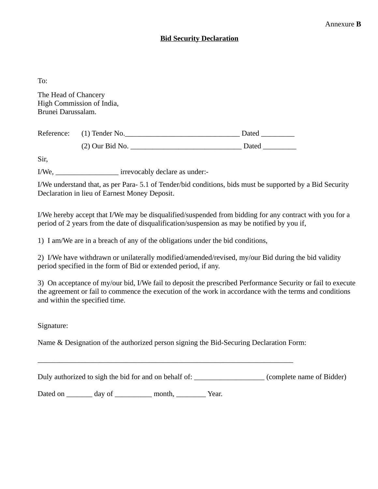#### **Bid Security Declaration**

To:

The Head of Chancery High Commission of India, Brunei Darussalam.

| Reference: (1) Tender No. | Dated |
|---------------------------|-------|
| $(2)$ Our Bid No.         | Dated |

Sir,

I/We, \_\_\_\_\_\_\_\_\_\_\_\_\_\_\_\_\_ irrevocably declare as under:-

I/We understand that, as per Para- 5.1 of Tender/bid conditions, bids must be supported by a Bid Security Declaration in lieu of Earnest Money Deposit.

I/We hereby accept that I/We may be disqualified/suspended from bidding for any contract with you for a period of 2 years from the date of disqualification/suspension as may be notified by you if,

1) I am/We are in a breach of any of the obligations under the bid conditions,

2) I/We have withdrawn or unilaterally modified/amended/revised, my/our Bid during the bid validity period specified in the form of Bid or extended period, if any.

3) On acceptance of my/our bid, I/We fail to deposit the prescribed Performance Security or fail to execute the agreement or fail to commence the execution of the work in accordance with the terms and conditions and within the specified time.

Signature:

Name & Designation of the authorized person signing the Bid-Securing Declaration Form:

 $\_$  , and the contribution of the contribution of  $\mathcal{L}_\mathcal{A}$  , and the contribution of  $\mathcal{L}_\mathcal{A}$  , and the contribution of  $\mathcal{L}_\mathcal{A}$ 

Duly authorized to sigh the bid for and on behalf of: \_\_\_\_\_\_\_\_\_\_\_\_\_\_\_\_\_\_\_\_\_\_\_\_\_\_(complete name of Bidder)

Dated on \_\_\_\_\_\_\_\_ day of \_\_\_\_\_\_\_\_\_\_ month, \_\_\_\_\_\_\_\_\_ Year.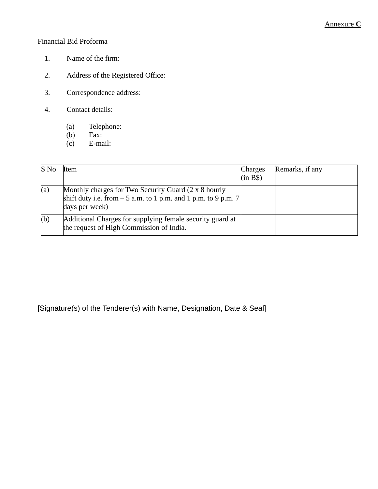#### Financial Bid Proforma

- 1. Name of the firm:
- 2. Address of the Registered Office:
- 3. Correspondence address:
- 4. Contact details:
	- (a) Telephone:<br>(b) Fax:
	- (b)  $\begin{array}{cc} \text{Fax:} \\ \text{F-b.} \\ \text{F-ma.} \end{array}$
	- E-mail:

| S No | Item                                                                                                                                      | <b>Charges</b><br>(in B\$) | Remarks, if any |
|------|-------------------------------------------------------------------------------------------------------------------------------------------|----------------------------|-----------------|
| (a)  | Monthly charges for Two Security Guard (2 x 8 hourly<br>shift duty i.e. from $-5$ a.m. to 1 p.m. and 1 p.m. to 9 p.m. 7<br>days per week) |                            |                 |
| (b)  | Additional Charges for supplying female security guard at<br>the request of High Commission of India.                                     |                            |                 |

[Signature(s) of the Tenderer(s) with Name, Designation, Date & Seal]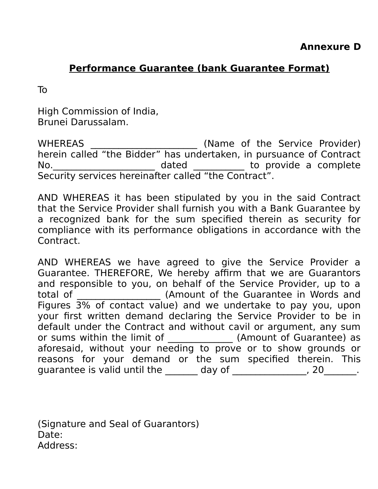# **Performance Guarantee (bank Guarantee Format)**

To

High Commission of India, Brunei Darussalam.

WHEREAS \_\_\_\_\_\_\_\_\_\_\_\_\_\_\_\_\_\_\_\_\_\_\_ (Name of the Service Provider) herein called "the Bidder" has undertaken, in pursuance of Contract No.\_\_\_\_\_\_\_\_\_\_\_\_\_\_\_\_\_\_\_\_\_\_ dated \_\_\_\_\_\_\_\_\_\_\_ to provide a complete Security services hereinafter called "the Contract".

AND WHEREAS it has been stipulated by you in the said Contract that the Service Provider shall furnish you with a Bank Guarantee by a recognized bank for the sum specified therein as security for compliance with its performance obligations in accordance with the Contract.

AND WHEREAS we have agreed to give the Service Provider a Guarantee. THEREFORE, We hereby affirm that we are Guarantors and responsible to you, on behalf of the Service Provider, up to a total of \_\_\_\_\_\_\_\_\_\_\_\_\_\_\_\_\_\_ (Amount of the Guarantee in Words and Figures 3% of contact value) and we undertake to pay you, upon your first written demand declaring the Service Provider to be in default under the Contract and without cavil or argument, any sum or sums within the limit of \_\_\_\_\_\_\_\_\_\_\_\_\_\_\_ (Amount of Guarantee) as aforesaid, without your needing to prove or to show grounds or reasons for your demand or the sum specified therein. This guarantee is valid until the  $\_\_\_\_$  day of  $\_\_\_\_\_\_\_$ , 20 $\_\_\_\_\_\,.$ 

(Signature and Seal of Guarantors) Date: Address: